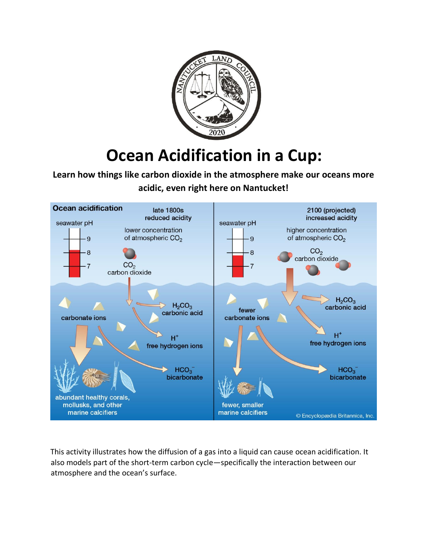

## **Ocean Acidification in a Cup:**

**Learn how things like carbon dioxide in the atmosphere make our oceans more acidic, even right here on Nantucket!** 



This activity illustrates how the diffusion of a gas into a liquid can cause ocean acidification. It also models part of the short-term carbon cycle—specifically the interaction between our atmosphere and the ocean's surface.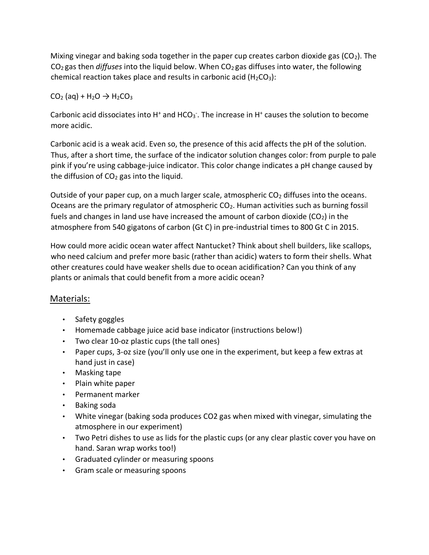Mixing vinegar and baking soda together in the paper cup creates carbon dioxide gas ( $CO<sub>2</sub>$ ). The CO2 gas then *diffuses* into the liquid below. When CO2 gas diffuses into water, the following chemical reaction takes place and results in carbonic acid  $(H_2CO_3)$ :

 $CO<sub>2</sub>$  (aq) + H<sub>2</sub>O  $\rightarrow$  H<sub>2</sub>CO<sub>3</sub>

Carbonic acid dissociates into H<sup>+</sup> and HCO<sub>3</sub>. The increase in H<sup>+</sup> causes the solution to become more acidic.

Carbonic acid is a weak acid. Even so, the presence of this acid affects the pH of the solution. Thus, after a short time, the surface of the indicator solution changes color: from purple to pale pink if you're using cabbage-juice indicator. This color change indicates a pH change caused by the diffusion of  $CO<sub>2</sub>$  gas into the liquid.

Outside of your paper cup, on a much larger scale, atmospheric  $CO<sub>2</sub>$  diffuses into the oceans. Oceans are the primary regulator of atmospheric  $CO<sub>2</sub>$ . Human activities such as burning fossil fuels and changes in land use have increased the amount of carbon dioxide  $(CO<sub>2</sub>)$  in the atmosphere from 540 gigatons of carbon (Gt C) in pre-industrial times to 800 Gt C in 2015.

How could more acidic ocean water affect Nantucket? Think about shell builders, like scallops, who need calcium and prefer more basic (rather than acidic) waters to form their shells. What other creatures could have weaker shells due to ocean acidification? Can you think of any plants or animals that could benefit from a more acidic ocean?

## Materials:

- Safety goggles
- Homemade cabbage juice acid base indicator (instructions below!)
- Two clear 10-oz plastic cups (the tall ones)
- Paper cups, 3-oz size (you'll only use one in the experiment, but keep a few extras at hand just in case)
- Masking tape
- Plain white paper
- Permanent marker
- Baking soda
- White vinegar (baking soda produces CO2 gas when mixed with vinegar, simulating the atmosphere in our experiment)
- Two Petri dishes to use as lids for the plastic cups (or any clear plastic cover you have on hand. Saran wrap works too!)
- Graduated cylinder or measuring spoons
- Gram scale or measuring spoons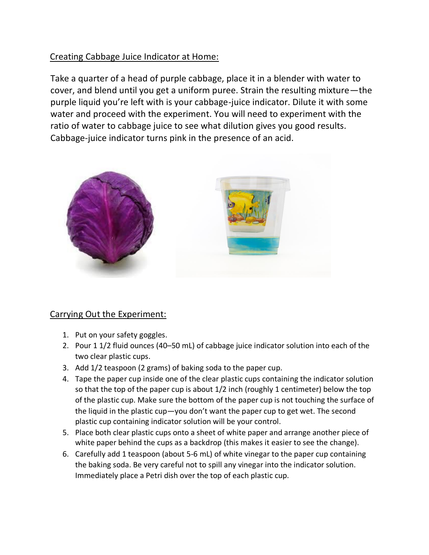## Creating Cabbage Juice Indicator at Home:

Take a quarter of a head of purple cabbage, place it in a blender with water to cover, and blend until you get a uniform puree. Strain the resulting mixture—the purple liquid you're left with is your cabbage-juice indicator. Dilute it with some water and proceed with the experiment. You will need to experiment with the ratio of water to cabbage juice to see what dilution gives you good results. Cabbage-juice indicator turns pink in the presence of an acid.



## Carrying Out the Experiment:

- 1. Put on your safety goggles.
- 2. Pour 1 1/2 fluid ounces (40–50 mL) of cabbage juice indicator solution into each of the two clear plastic cups.
- 3. Add 1/2 teaspoon (2 grams) of baking soda to the paper cup.
- 4. Tape the paper cup inside one of the clear plastic cups containing the indicator solution so that the top of the paper cup is about 1/2 inch (roughly 1 centimeter) below the top of the plastic cup. Make sure the bottom of the paper cup is not touching the surface of the liquid in the plastic cup—you don't want the paper cup to get wet. The second plastic cup containing indicator solution will be your control.
- 5. Place both clear plastic cups onto a sheet of white paper and arrange another piece of white paper behind the cups as a backdrop (this makes it easier to see the change).
- 6. Carefully add 1 teaspoon (about 5-6 mL) of white vinegar to the paper cup containing the baking soda. Be very careful not to spill any vinegar into the indicator solution. Immediately place a Petri dish over the top of each plastic cup.